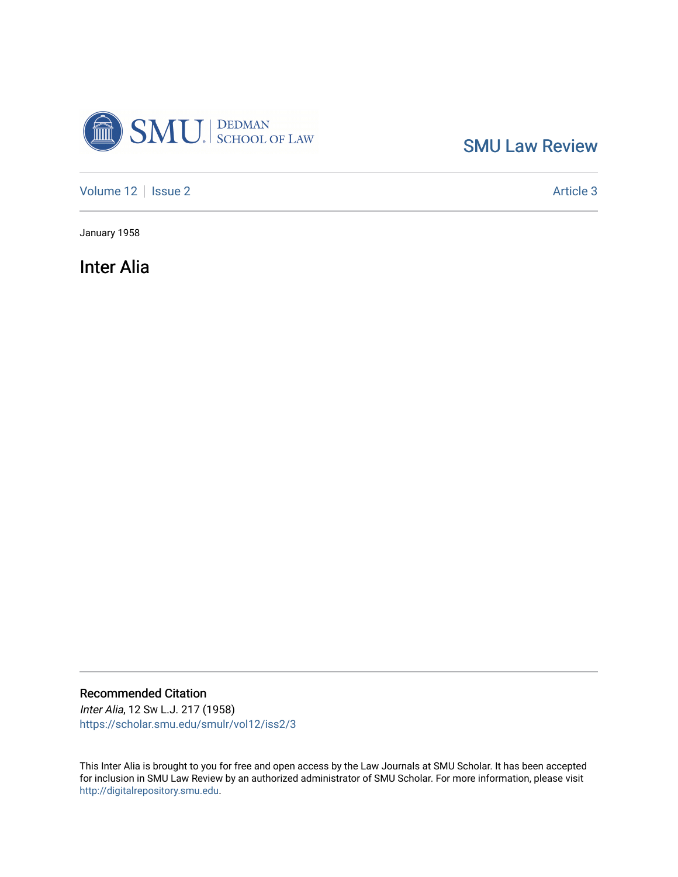

[SMU Law Review](https://scholar.smu.edu/smulr) 

[Volume 12](https://scholar.smu.edu/smulr/vol12) | [Issue 2](https://scholar.smu.edu/smulr/vol12/iss2) Article 3

January 1958

Inter Alia

Recommended Citation Inter Alia, 12 SW L.J. 217 (1958)

[https://scholar.smu.edu/smulr/vol12/iss2/3](https://scholar.smu.edu/smulr/vol12/iss2/3?utm_source=scholar.smu.edu%2Fsmulr%2Fvol12%2Fiss2%2F3&utm_medium=PDF&utm_campaign=PDFCoverPages) 

This Inter Alia is brought to you for free and open access by the Law Journals at SMU Scholar. It has been accepted for inclusion in SMU Law Review by an authorized administrator of SMU Scholar. For more information, please visit [http://digitalrepository.smu.edu.](http://digitalrepository.smu.edu/)